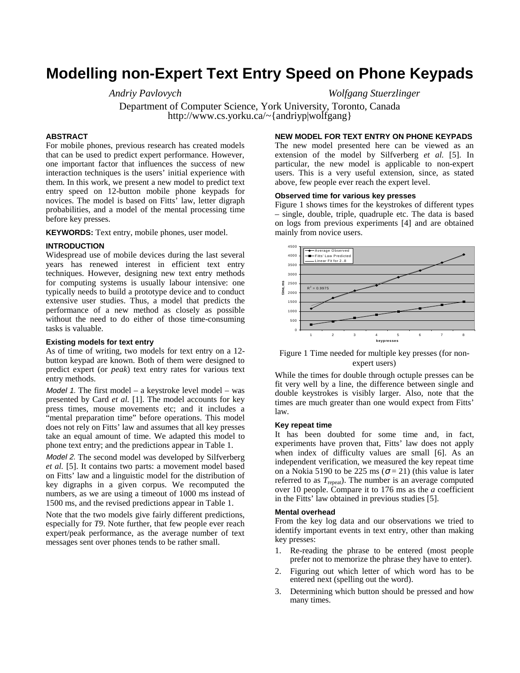# **Modelling non-Expert Text Entry Speed on Phone Keypads**

*Andriy Pavlovych Wolfgang Stuerzlinger*

Department of Computer Science, York University, Toronto, Canada http://www.cs.yorku.ca/~{andriyp|wolfgang}

# **ABSTRACT**

For mobile phones, previous research has created models that can be used to predict expert performance. However, one important factor that influences the success of new interaction techniques is the users' initial experience with them. In this work, we present a new model to predict text entry speed on 12-button mobile phone keypads for novices. The model is based on Fitts' law, letter digraph probabilities, and a model of the mental processing time before key presses.

**KEYWORDS:** Text entry, mobile phones, user model.

## **INTRODUCTION**

Widespread use of mobile devices during the last several years has renewed interest in efficient text entry techniques. However, designing new text entry methods for computing systems is usually labour intensive: one typically needs to build a prototype device and to conduct extensive user studies. Thus, a model that predicts the performance of a new method as closely as possible without the need to do either of those time-consuming tasks is valuable.

## **Existing models for text entry**

As of time of writing, two models for text entry on a 12 button keypad are known. Both of them were designed to predict expert (or *peak*) text entry rates for various text entry methods.

*Model 1.* The first model – a keystroke level model – was presented by Card *et al.* [1]. The model accounts for key press times, mouse movements etc; and it includes a "mental preparation time" before operations. This model does not rely on Fitts' law and assumes that all key presses take an equal amount of time. We adapted this model to phone text entry; and the predictions appear in Table 1.

Model 2. The second model was developed by Silfverberg *et al.* [5]. It contains two parts: a movement model based on Fitts' law and a linguistic model for the distribution of key digraphs in a given corpus. We recomputed the numbers, as we are using a timeout of 1000 ms instead of 1500 ms, and the revised predictions appear in Table 1.

Note that the two models give fairly different predictions, especially for *T9*. Note further, that few people ever reach expert/peak performance, as the average number of text messages sent over phones tends to be rather small.

# **NEW MODEL FOR TEXT ENTRY ON PHONE KEYPADS**

The new model presented here can be viewed as an extension of the model by Silfverberg *et al.* [5]. In particular, the new model is applicable to non-expert users. This is a very useful extension, since, as stated above, few people ever reach the expert level.

# **Observed time for various key presses**

Figure 1 shows times for the keystrokes of different types – single, double, triple, quadruple etc. The data is based on logs from previous experiments [4] and are obtained mainly from novice users.



Figure 1 Time needed for multiple key presses (for nonexpert users)

While the times for double through octuple presses can be fit very well by a line, the difference between single and double keystrokes is visibly larger. Also, note that the times are much greater than one would expect from Fitts' law.

## **Key repeat time**

It has been doubted for some time and, in fact, experiments have proven that, Fitts' law does not apply when index of difficulty values are small [6]. As an independent verification, we measured the key repeat time on a Nokia 5190 to be 225 ms ( $\sigma$  = 21) (this value is later referred to as  $T_{\text{repeat}}$ ). The number is an average computed over 10 people. Compare it to 176 ms as the *a* coefficient in the Fitts' law obtained in previous studies [5].

## **Mental overhead**

From the key log data and our observations we tried to identify important events in text entry, other than making key presses:

- 1. Re-reading the phrase to be entered (most people prefer not to memorize the phrase they have to enter).
- 2. Figuring out which letter of which word has to be entered next (spelling out the word).
- 3. Determining which button should be pressed and how many times.